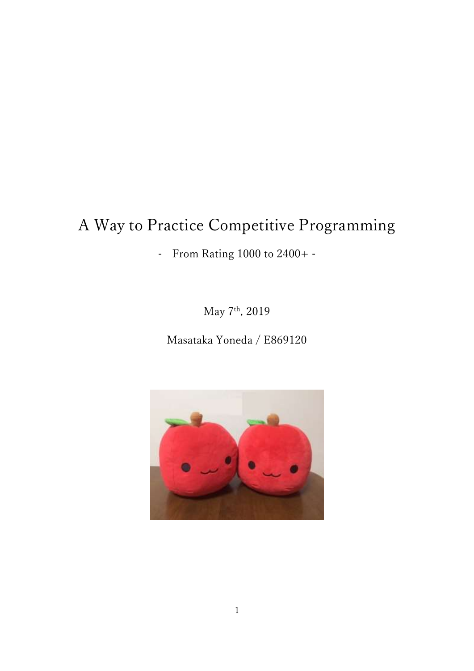# A Way to Practice Competitive Programming

- From Rating 1000 to 2400+ -

May 7<sup>th</sup>, 2019

Masataka Yoneda / E869120

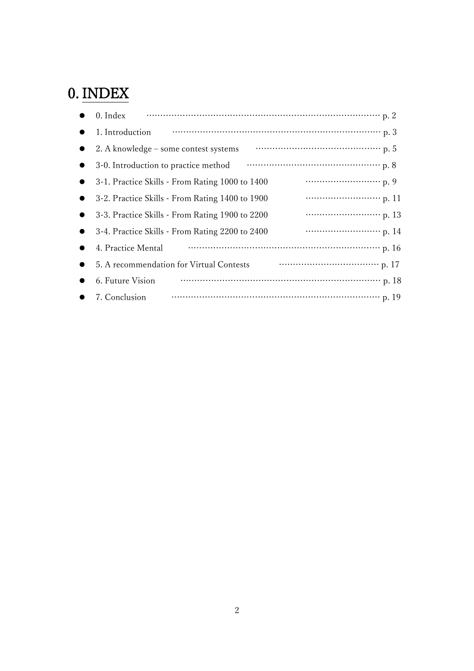# 0. INDEX

| $0.$ Index                                      |  |
|-------------------------------------------------|--|
| 1. Introduction                                 |  |
| 2. A knowledge – some contest systems           |  |
| 3-0. Introduction to practice method            |  |
| 3-1. Practice Skills - From Rating 1000 to 1400 |  |
| 3-2. Practice Skills - From Rating 1400 to 1900 |  |
| 3-3. Practice Skills - From Rating 1900 to 2200 |  |
| 3-4. Practice Skills - From Rating 2200 to 2400 |  |
| 4. Practice Mental                              |  |
| 5. A recommendation for Virtual Contests        |  |
| 6. Future Vision                                |  |
| 7. Conclusion                                   |  |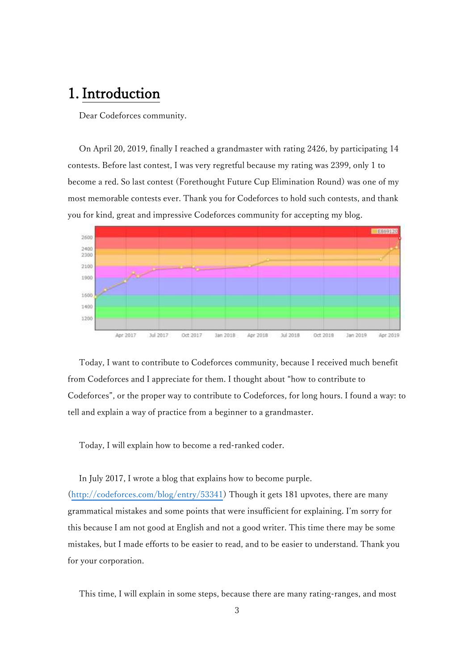### 1. Introduction

Dear Codeforces community.

On April 20, 2019, finally I reached a grandmaster with rating 2426, by participating 14 contests. Before last contest, I was very regretful because my rating was 2399, only 1 to become a red. So last contest (Forethought Future Cup Elimination Round) was one of my most memorable contests ever. Thank you for Codeforces to hold such contests, and thank you for kind, great and impressive Codeforces community for accepting my blog.



Today, I want to contribute to Codeforces community, because I received much benefit from Codeforces and I appreciate for them. I thought about "how to contribute to Codeforces", or the proper way to contribute to Codeforces, for long hours. I found a way: to tell and explain a way of practice from a beginner to a grandmaster.

Today, I will explain how to become a red-ranked coder.

In July 2017, I wrote a blog that explains how to become purple.

[\(http://codeforces.com/blog/entry/53341\)](http://codeforces.com/blog/entry/53341) Though it gets 181 upvotes, there are many grammatical mistakes and some points that were insufficient for explaining. I'm sorry for this because I am not good at English and not a good writer. This time there may be some mistakes, but I made efforts to be easier to read, and to be easier to understand. Thank you for your corporation.

This time, I will explain in some steps, because there are many rating-ranges, and most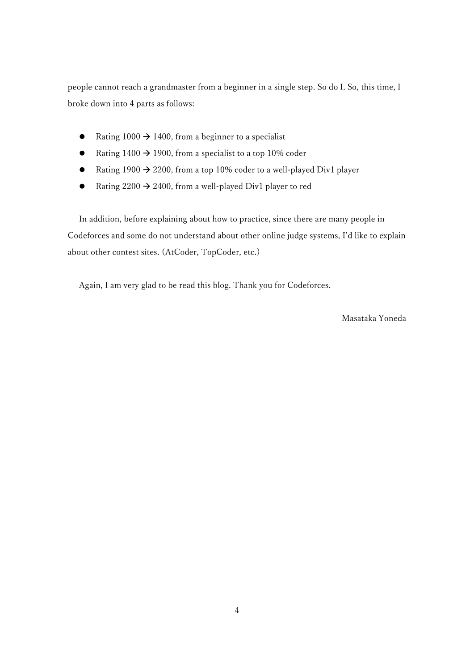people cannot reach a grandmaster from a beginner in a single step. So do I. So, this time, I broke down into 4 parts as follows:

- Rating  $1000 \rightarrow 1400$ , from a beginner to a specialist
- Rating 1400  $\rightarrow$  1900, from a specialist to a top 10% coder
- Rating 1900  $\rightarrow$  2200, from a top 10% coder to a well-played Div1 player
- Rating 2200  $\rightarrow$  2400, from a well-played Div1 player to red

In addition, before explaining about how to practice, since there are many people in Codeforces and some do not understand about other online judge systems, I'd like to explain about other contest sites. (AtCoder, TopCoder, etc.)

Again, I am very glad to be read this blog. Thank you for Codeforces.

Masataka Yoneda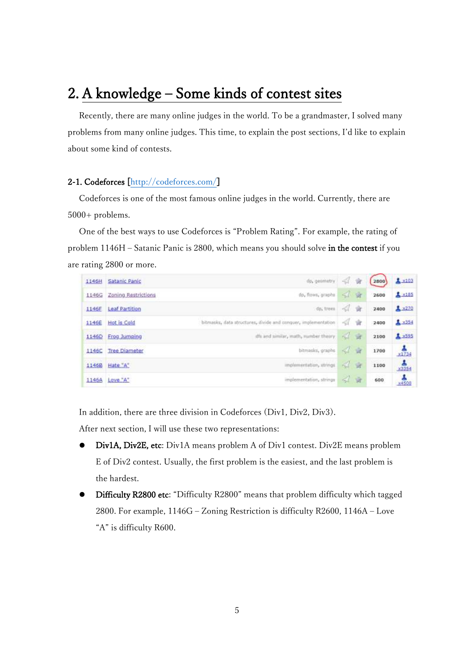### 2. A knowledge – Some kinds of contest sites

Recently, there are many online judges in the world. To be a grandmaster, I solved many problems from many online judges. This time, to explain the post sections, I'd like to explain about some kind of contests.

#### 2-1. Codeforces [\[http://codeforces.com/\]](http://codeforces.com/)

Codeforces is one of the most famous online judges in the world. Currently, there are 5000+ problems.

One of the best ways to use Codeforces is "Problem Rating". For example, the rating of problem 1146H – Satanic Panic is 2800, which means you should solve in the contest if you are rating 2800 or more.



In addition, there are three division in Codeforces (Div1, Div2, Div3).

After next section, I will use these two representations:

- Div1A, Div2E, etc: Div1A means problem A of Div1 contest. Div2E means problem E of Div2 contest. Usually, the first problem is the easiest, and the last problem is the hardest.
- Difficulty R2800 etc: "Difficulty R2800" means that problem difficulty which tagged 2800. For example, 1146G – Zoning Restriction is difficulty R2600, 1146A – Love "A" is difficulty R600.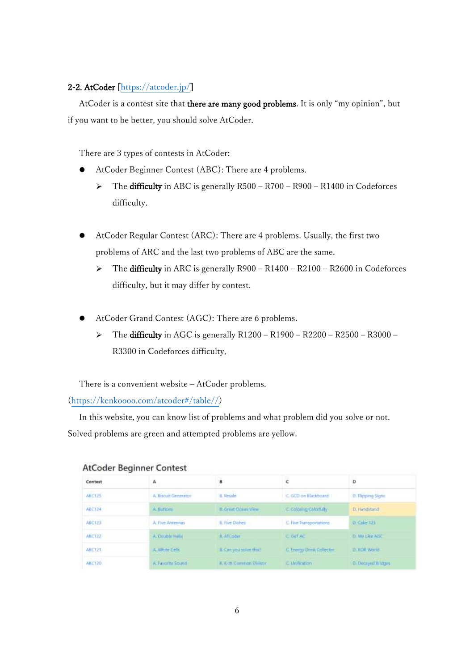#### 2-2. AtCoder [\[https://atcoder.jp/\]](https://atcoder.jp/)

AtCoder is a contest site that there are many good problems. It is only "my opinion", but if you want to be better, you should solve AtCoder.

There are 3 types of contests in AtCoder:

- ⚫ AtCoder Beginner Contest (ABC): There are 4 problems.
	- ➢ The difficulty in ABC is generally R500 R700 R900 R1400 in Codeforces difficulty.
- ⚫ AtCoder Regular Contest (ARC): There are 4 problems. Usually, the first two problems of ARC and the last two problems of ABC are the same.
	- ➢ The difficulty in ARC is generally R900 R1400 R2100 R2600 in Codeforces difficulty, but it may differ by contest.
- ⚫ AtCoder Grand Contest (AGC): There are 6 problems.
	- ➢ The difficulty in AGC is generally R1200 R1900 R2200 R2500 R3000 R3300 in Codeforces difficulty,

There is a convenient website – AtCoder problems.

[\(https://kenkoooo.com/atcoder#/table//\)](https://kenkoooo.com/atcoder#/table//)

In this website, you can know list of problems and what problem did you solve or not. Solved problems are green and attempted problems are yellow.

| <b>BROOM</b><br>Contest | А                                                                        | B                                                                  | ć                                                                 | $\mathbf{D}$                                        |
|-------------------------|--------------------------------------------------------------------------|--------------------------------------------------------------------|-------------------------------------------------------------------|-----------------------------------------------------|
| ABC125<br>723119        | A. Biscuit Generator<br>and the control of the control of the control of | <b>H. Recale</b><br>1912 - Alia                                    | C GCD on Blackboard<br>material and company of the control of the | D. Flipping Signs<br>and company of the same        |
| ABC124                  | <b>CONTRACTOR</b><br>A. Burtons                                          | <b>II</b> Great Ocean View                                         | C. Colonna Colorfully                                             | D. Handstand                                        |
| ABC123                  | A. Five Antennas                                                         | <b>B. Five Dishes</b>                                              | C. Hve Transportations                                            | 0. Cake 123                                         |
| ABC122                  | A. Double Helle                                                          | III ATCOGNI                                                        | C-Get AC                                                          | D/We Like AGC                                       |
| ABC121                  | A. White Cells                                                           | B. Con you salve this?                                             | C. Energy Drink Collector                                         | <b>D. KOR World</b>                                 |
| ABC120                  | A Twenty Sound                                                           | <b>R. Krith Common Divisor</b><br>The Children of Children Council | E Unification                                                     | <b>A DAMAS COMPANY REPORTS</b><br>D. Decayed Endges |

#### AtCoder Beginner Contest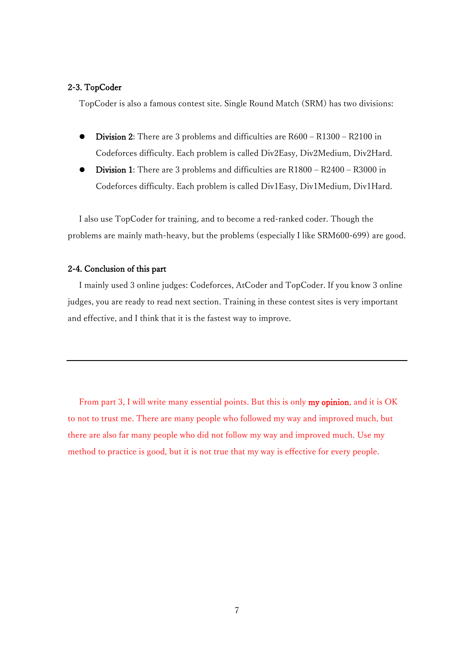#### 2-3. TopCoder

TopCoder is also a famous contest site. Single Round Match (SRM) has two divisions:

- ⚫ Division 2: There are 3 problems and difficulties are R600 R1300 R2100 in Codeforces difficulty. Each problem is called Div2Easy, Div2Medium, Div2Hard.
- ⚫ Division 1: There are 3 problems and difficulties are R1800 R2400 R3000 in Codeforces difficulty. Each problem is called Div1Easy, Div1Medium, Div1Hard.

I also use TopCoder for training, and to become a red-ranked coder. Though the problems are mainly math-heavy, but the problems (especially I like SRM600-699) are good.

#### 2-4. Conclusion of this part

I mainly used 3 online judges: Codeforces, AtCoder and TopCoder. If you know 3 online judges, you are ready to read next section. Training in these contest sites is very important and effective, and I think that it is the fastest way to improve.

From part 3, I will write many essential points. But this is only **my opinion**, and it is OK to not to trust me. There are many people who followed my way and improved much, but there are also far many people who did not follow my way and improved much. Use my method to practice is good, but it is not true that my way is effective for every people.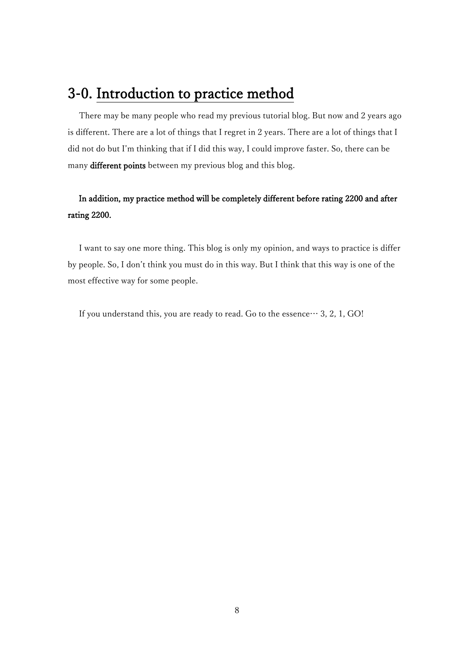### 3-0. Introduction to practice method

There may be many people who read my previous tutorial blog. But now and 2 years ago is different. There are a lot of things that I regret in 2 years. There are a lot of things that I did not do but I'm thinking that if I did this way, I could improve faster. So, there can be many different points between my previous blog and this blog.

### In addition, my practice method will be completely different before rating 2200 and after rating 2200.

I want to say one more thing. This blog is only my opinion, and ways to practice is differ by people. So, I don't think you must do in this way. But I think that this way is one of the most effective way for some people.

If you understand this, you are ready to read. Go to the essence… 3, 2, 1, GO!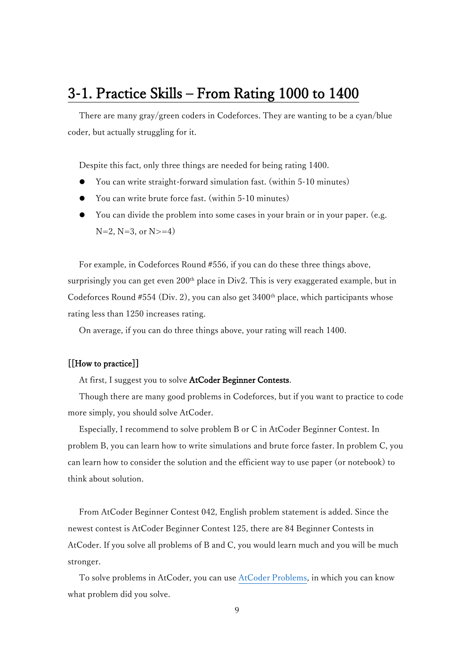### 3-1. Practice Skills – From Rating 1000 to 1400

There are many gray/green coders in Codeforces. They are wanting to be a cyan/blue coder, but actually struggling for it.

Despite this fact, only three things are needed for being rating 1400.

- You can write straight-forward simulation fast. (within 5-10 minutes)
- ⚫ You can write brute force fast. (within 5-10 minutes)
- ⚫ You can divide the problem into some cases in your brain or in your paper. (e.g.  $N=2$ ,  $N=3$ , or  $N>=4$ )

For example, in Codeforces Round #556, if you can do these three things above, surprisingly you can get even  $200<sup>th</sup>$  place in Div2. This is very exaggerated example, but in Codeforces Round #554 (Div. 2), you can also get  $3400<sup>th</sup>$  place, which participants whose rating less than 1250 increases rating.

On average, if you can do three things above, your rating will reach 1400.

#### [[How to practice]]

At first, I suggest you to solve AtCoder Beginner Contests.

Though there are many good problems in Codeforces, but if you want to practice to code more simply, you should solve AtCoder.

Especially, I recommend to solve problem B or C in AtCoder Beginner Contest. In problem B, you can learn how to write simulations and brute force faster. In problem C, you can learn how to consider the solution and the efficient way to use paper (or notebook) to think about solution.

From AtCoder Beginner Contest 042, English problem statement is added. Since the newest contest is AtCoder Beginner Contest 125, there are 84 Beginner Contests in AtCoder. If you solve all problems of B and C, you would learn much and you will be much stronger.

To solve problems in AtCoder, you can use [AtCoder Problems,](https://kenkoooo.com/atcoder#/table//) in which you can know what problem did you solve.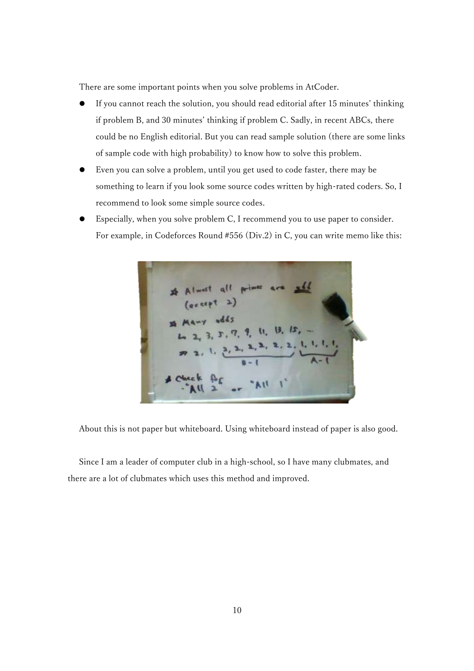There are some important points when you solve problems in AtCoder.

- ⚫ If you cannot reach the solution, you should read editorial after 15 minutes' thinking if problem B, and 30 minutes' thinking if problem C. Sadly, in recent ABCs, there could be no English editorial. But you can read sample solution (there are some links of sample code with high probability) to know how to solve this problem.
- ⚫ Even you can solve a problem, until you get used to code faster, there may be something to learn if you look some source codes written by high-rated coders. So, I recommend to look some simple source codes.
- ⚫ Especially, when you solve problem C, I recommend you to use paper to consider. For example, in Codeforces Round #556 (Div.2) in C, you can write memo like this:

About this is not paper but whiteboard. Using whiteboard instead of paper is also good.

Since I am a leader of computer club in a high-school, so I have many clubmates, and there are a lot of clubmates which uses this method and improved.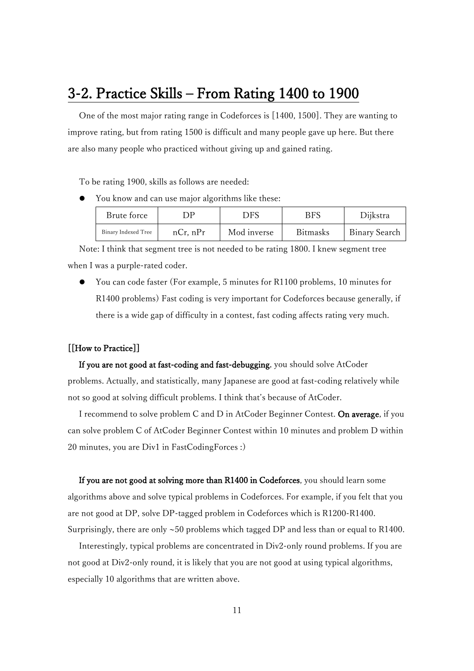### 3-2. Practice Skills – From Rating 1400 to 1900

One of the most major rating range in Codeforces is [1400, 1500]. They are wanting to improve rating, but from rating 1500 is difficult and many people gave up here. But there are also many people who practiced without giving up and gained rating.

To be rating 1900, skills as follows are needed:

⚫ You know and can use major algorithms like these:

| Brute force                          | ١P | DFS         | <b>BFS</b>      | Dijkstra             |
|--------------------------------------|----|-------------|-----------------|----------------------|
| $nCr$ , $nPr$<br>Binary Indexed Tree |    | Mod inverse | <b>Bitmasks</b> | <b>Binary Search</b> |

Note: I think that segment tree is not needed to be rating 1800. I knew segment tree when I was a purple-rated coder.

⚫ You can code faster (For example, 5 minutes for R1100 problems, 10 minutes for R1400 problems) Fast coding is very important for Codeforces because generally, if there is a wide gap of difficulty in a contest, fast coding affects rating very much.

#### [[How to Practice]]

If you are not good at fast-coding and fast-debugging, you should solve AtCoder problems. Actually, and statistically, many Japanese are good at fast-coding relatively while not so good at solving difficult problems. I think that's because of AtCoder.

I recommend to solve problem C and D in AtCoder Beginner Contest. On average, if you can solve problem C of AtCoder Beginner Contest within 10 minutes and problem D within 20 minutes, you are Div1 in FastCodingForces :)

If you are not good at solving more than R1400 in Codeforces, you should learn some algorithms above and solve typical problems in Codeforces. For example, if you felt that you are not good at DP, solve DP-tagged problem in Codeforces which is R1200-R1400. Surprisingly, there are only  $\sim$  50 problems which tagged DP and less than or equal to R1400.

Interestingly, typical problems are concentrated in Div2-only round problems. If you are not good at Div2-only round, it is likely that you are not good at using typical algorithms, especially 10 algorithms that are written above.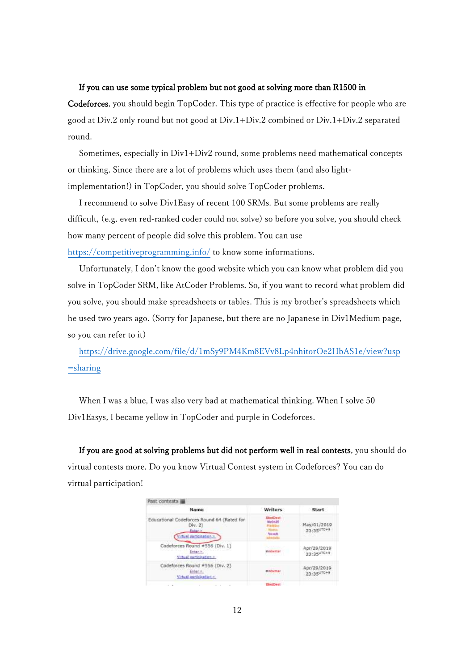#### If you can use some typical problem but not good at solving more than R1500 in

Codeforces, you should begin TopCoder. This type of practice is effective for people who are good at Div.2 only round but not good at Div.1+Div.2 combined or Div.1+Div.2 separated round.

Sometimes, especially in Div1+Div2 round, some problems need mathematical concepts or thinking. Since there are a lot of problems which uses them (and also lightimplementation!) in TopCoder, you should solve TopCoder problems.

I recommend to solve Div1Easy of recent 100 SRMs. But some problems are really difficult, (e.g. even red-ranked coder could not solve) so before you solve, you should check how many percent of people did solve this problem. You can use <https://competitiveprogramming.info/> to know some informations.

Unfortunately, I don't know the good website which you can know what problem did you solve in TopCoder SRM, like AtCoder Problems. So, if you want to record what problem did you solve, you should make spreadsheets or tables. This is my brother's spreadsheets which he used two years ago. (Sorry for Japanese, but there are no Japanese in Div1Medium page, so you can refer to it)

[https://drive.google.com/file/d/1mSy9PM4Km8EVv8Lp4nhitorOe2HbAS1e/view?usp](https://drive.google.com/file/d/1mSy9PM4Km8EVv8Lp4nhitorOe2HbAS1e/view?usp=sharing) [=sharing](https://drive.google.com/file/d/1mSy9PM4Km8EVv8Lp4nhitorOe2HbAS1e/view?usp=sharing)

When I was a blue, I was also very bad at mathematical thinking. When I solve 50 Div1Easys, I became yellow in TopCoder and purple in Codeforces.

If you are good at solving problems but did not perform well in real contests, you should do virtual contests more. Do you know Virtual Contest system in Codeforces? You can do virtual participation!

| Name                                                                                         | <b>Writers</b>                                             | Start                               |  |
|----------------------------------------------------------------------------------------------|------------------------------------------------------------|-------------------------------------|--|
| Educational Codeforces Round 64 (Rated for<br>Div, 2<br>Felier is<br>Virtual uarticination.» | <b>Class Deat</b><br>Medal <sub>20</sub><br><b>Woosell</b> | May/01/2019<br>23:35 74<br>91 BALTO |  |
| Codeforces Round #556 (Div. 1)<br>3-81M XX<br>Drise in<br>Virtual participation =            | mobilitian                                                 | Apr/29/2019<br>$73.15$ uTC+9        |  |
| Codeforces Round #556 (Div. 2)<br>Ester =<br>Virtual aarticipation a                         | <b>BUSINESS</b>                                            | Apr/29/2019<br>23:35UTC+3           |  |
|                                                                                              | <b><i>Elisab</i></b> Chevrolet                             |                                     |  |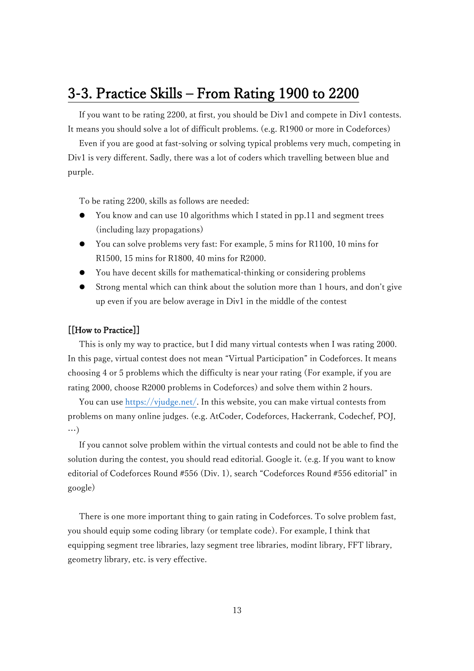### 3-3. Practice Skills – From Rating 1900 to 2200

If you want to be rating 2200, at first, you should be Div1 and compete in Div1 contests. It means you should solve a lot of difficult problems. (e.g. R1900 or more in Codeforces)

Even if you are good at fast-solving or solving typical problems very much, competing in Div1 is very different. Sadly, there was a lot of coders which travelling between blue and purple.

To be rating 2200, skills as follows are needed:

- ⚫ You know and can use 10 algorithms which I stated in pp.11 and segment trees (including lazy propagations)
- ⚫ You can solve problems very fast: For example, 5 mins for R1100, 10 mins for R1500, 15 mins for R1800, 40 mins for R2000.
- ⚫ You have decent skills for mathematical-thinking or considering problems
- ⚫ Strong mental which can think about the solution more than 1 hours, and don't give up even if you are below average in Div1 in the middle of the contest

#### [[How to Practice]]

This is only my way to practice, but I did many virtual contests when I was rating 2000. In this page, virtual contest does not mean "Virtual Participation" in Codeforces. It means choosing 4 or 5 problems which the difficulty is near your rating (For example, if you are rating 2000, choose R2000 problems in Codeforces) and solve them within 2 hours.

You can use [https://vjudge.net/.](https://vjudge.net/) In this website, you can make virtual contests from problems on many online judges. (e.g. AtCoder, Codeforces, Hackerrank, Codechef, POJ,  $\cdots)$ 

If you cannot solve problem within the virtual contests and could not be able to find the solution during the contest, you should read editorial. Google it. (e.g. If you want to know editorial of Codeforces Round #556 (Div. 1), search "Codeforces Round #556 editorial" in google)

There is one more important thing to gain rating in Codeforces. To solve problem fast, you should equip some coding library (or template code). For example, I think that equipping segment tree libraries, lazy segment tree libraries, modint library, FFT library, geometry library, etc. is very effective.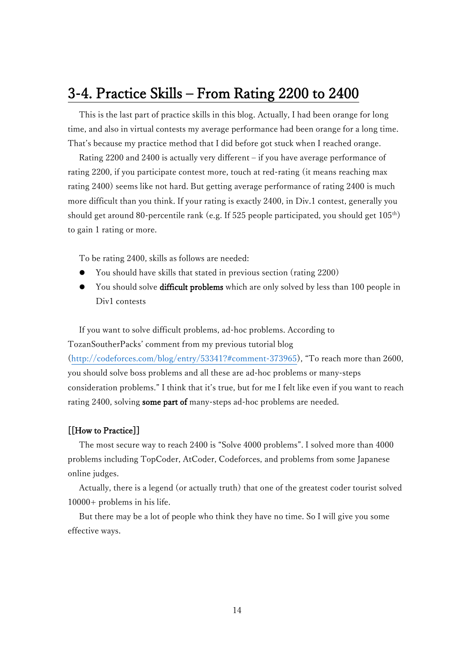### 3-4. Practice Skills – From Rating 2200 to 2400

This is the last part of practice skills in this blog. Actually, I had been orange for long time, and also in virtual contests my average performance had been orange for a long time. That's because my practice method that I did before got stuck when I reached orange.

Rating 2200 and 2400 is actually very different – if you have average performance of rating 2200, if you participate contest more, touch at red-rating (it means reaching max rating 2400) seems like not hard. But getting average performance of rating 2400 is much more difficult than you think. If your rating is exactly 2400, in Div.1 contest, generally you should get around 80-percentile rank (e.g. If 525 people participated, you should get  $105<sup>th</sup>$ ) to gain 1 rating or more.

To be rating 2400, skills as follows are needed:

- You should have skills that stated in previous section (rating 2200)
- You should solve difficult problems which are only solved by less than 100 people in Div1 contests

If you want to solve difficult problems, ad-hoc problems. According to TozanSoutherPacks' comment from my previous tutorial blog [\(http://codeforces.com/blog/entry/53341?#comment-373965](http://codeforces.com/blog/entry/53341?#comment-373965)), "To reach more than 2600, you should solve boss problems and all these are ad-hoc problems or many-steps consideration problems." I think that it's true, but for me I felt like even if you want to reach rating 2400, solving some part of many-steps ad-hoc problems are needed.

#### [[How to Practice]]

The most secure way to reach 2400 is "Solve 4000 problems". I solved more than 4000 problems including TopCoder, AtCoder, Codeforces, and problems from some Japanese online judges.

Actually, there is a legend (or actually truth) that one of the greatest coder tourist solved 10000+ problems in his life.

But there may be a lot of people who think they have no time. So I will give you some effective ways.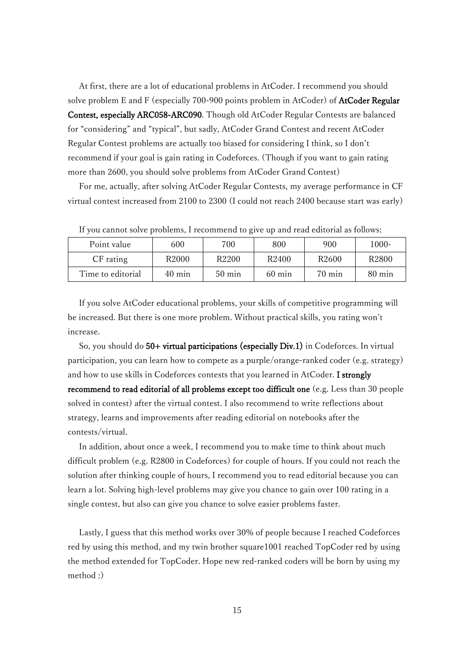At first, there are a lot of educational problems in AtCoder. I recommend you should solve problem E and F (especially 700-900 points problem in AtCoder) of AtCoder Regular Contest, especially ARC058-ARC090. Though old AtCoder Regular Contests are balanced for "considering" and "typical", but sadly, AtCoder Grand Contest and recent AtCoder Regular Contest problems are actually too biased for considering I think, so I don't recommend if your goal is gain rating in Codeforces. (Though if you want to gain rating more than 2600, you should solve problems from AtCoder Grand Contest)

For me, actually, after solving AtCoder Regular Contests, my average performance in CF virtual contest increased from 2100 to 2300 (I could not reach 2400 because start was early)

| Point value       | 600               | 700               | 800               | 900               | 1000-             |
|-------------------|-------------------|-------------------|-------------------|-------------------|-------------------|
| CF rating         | R <sub>2000</sub> | R <sub>2200</sub> | R <sub>2400</sub> | R <sub>2600</sub> | R <sub>2800</sub> |
| Time to editorial | $40 \text{ min}$  | $50 \text{ min}$  | $60 \text{ min}$  | $70 \text{ min}$  | $80 \text{ min}$  |

If you cannot solve problems, I recommend to give up and read editorial as follows:

If you solve AtCoder educational problems, your skills of competitive programming will be increased. But there is one more problem. Without practical skills, you rating won't increase.

So, you should do 50+ virtual participations (especially Div.1) in Codeforces. In virtual participation, you can learn how to compete as a purple/orange-ranked coder (e.g. strategy) and how to use skills in Codeforces contests that you learned in AtCoder. I strongly recommend to read editorial of all problems except too difficult one (e.g. Less than 30 people solved in contest) after the virtual contest. I also recommend to write reflections about strategy, learns and improvements after reading editorial on notebooks after the contests/virtual.

In addition, about once a week, I recommend you to make time to think about much difficult problem (e.g. R2800 in Codeforces) for couple of hours. If you could not reach the solution after thinking couple of hours, I recommend you to read editorial because you can learn a lot. Solving high-level problems may give you chance to gain over 100 rating in a single contest, but also can give you chance to solve easier problems faster.

Lastly, I guess that this method works over 30% of people because I reached Codeforces red by using this method, and my twin brother square1001 reached TopCoder red by using the method extended for TopCoder. Hope new red-ranked coders will be born by using my method :)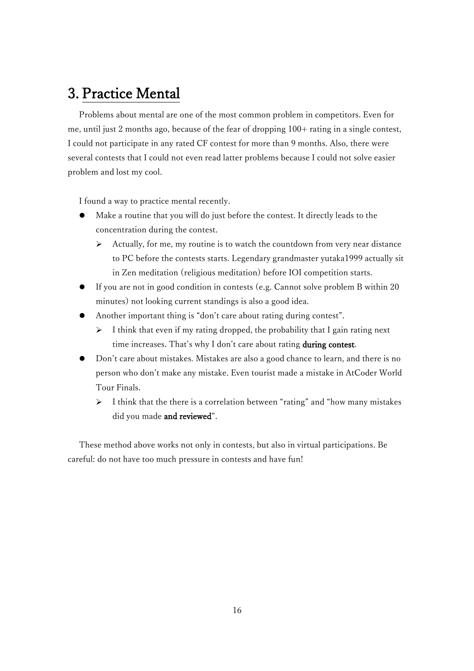## 3. Practice Mental

Problems about mental are one of the most common problem in competitors. Even for me, until just 2 months ago, because of the fear of dropping 100+ rating in a single contest, I could not participate in any rated CF contest for more than 9 months. Also, there were several contests that I could not even read latter problems because I could not solve easier problem and lost my cool.

I found a way to practice mental recently.

- ⚫ Make a routine that you will do just before the contest. It directly leads to the concentration during the contest.
	- ➢ Actually, for me, my routine is to watch the countdown from very near distance to PC before the contests starts. Legendary grandmaster yutaka1999 actually sit in Zen meditation (religious meditation) before IOI competition starts.
- ⚫ If you are not in good condition in contests (e.g. Cannot solve problem B within 20 minutes) not looking current standings is also a good idea.
- ⚫ Another important thing is "don't care about rating during contest".
	- $\triangleright$  I think that even if my rating dropped, the probability that I gain rating next time increases. That's why I don't care about rating during contest.
- ⚫ Don't care about mistakes. Mistakes are also a good chance to learn, and there is no person who don't make any mistake. Even tourist made a mistake in AtCoder World Tour Finals.
	- $\triangleright$  I think that the there is a correlation between "rating" and "how many mistakes did you made and reviewed".

These method above works not only in contests, but also in virtual participations. Be careful: do not have too much pressure in contests and have fun!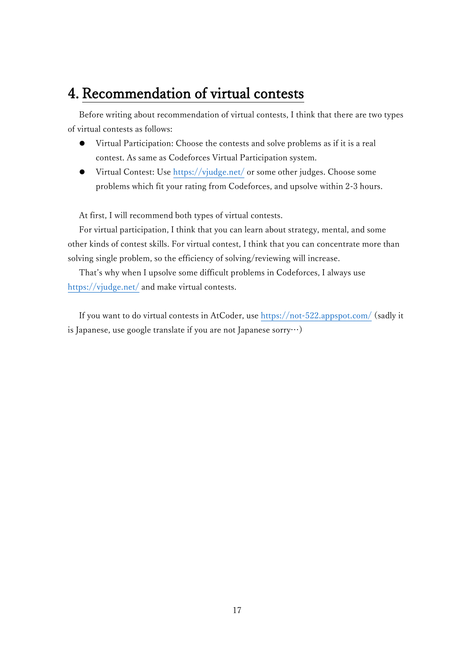## 4. Recommendation of virtual contests

Before writing about recommendation of virtual contests, I think that there are two types of virtual contests as follows:

- ⚫ Virtual Participation: Choose the contests and solve problems as if it is a real contest. As same as Codeforces Virtual Participation system.
- ⚫ Virtual Contest: Use<https://vjudge.net/> or some other judges. Choose some problems which fit your rating from Codeforces, and upsolve within 2-3 hours.

At first, I will recommend both types of virtual contests.

For virtual participation, I think that you can learn about strategy, mental, and some other kinds of contest skills. For virtual contest, I think that you can concentrate more than solving single problem, so the efficiency of solving/reviewing will increase.

That's why when I upsolve some difficult problems in Codeforces, I always use <https://vjudge.net/> and make virtual contests.

If you want to do virtual contests in AtCoder, use<https://not-522.appspot.com/> (sadly it is Japanese, use google translate if you are not Japanese sorry…)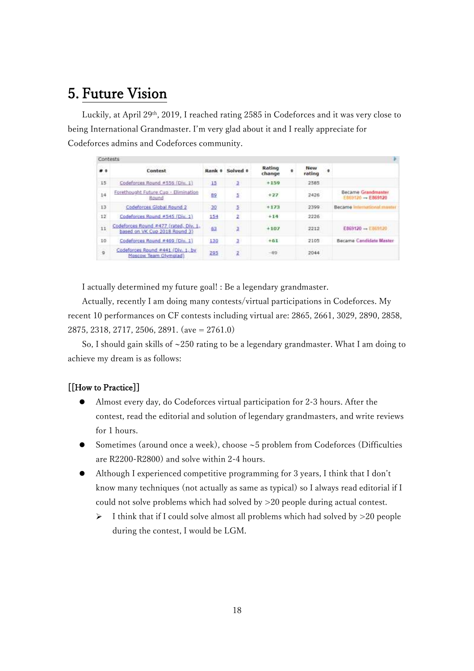## 5. Future Vision

Luckily, at April 29th, 2019, I reached rating 2585 in Codeforces and it was very close to being International Grandmaster. I'm very glad about it and I really appreciate for Codeforces admins and Codeforces community.

| Contests |                                                                        |        |                |                       |               | Þ                                       |
|----------|------------------------------------------------------------------------|--------|----------------|-----------------------|---------------|-----------------------------------------|
| #        | Contest<br>and the Control of the Con-                                 | Rank # | Solved #       | Rating<br>٠<br>change | New<br>rating | ٠                                       |
| 15       | Codeforces Round #556 (Div. 1)                                         | $-15$  | а              | $+159$                | 2585          |                                         |
| 14       | Forethought Future Cup - Elimination<br>Round                          | 89     | ā              | $+27$                 | 2426          | Became Grandmaster<br>E869120 - E869120 |
| 13       | Codeforces Global Round 2                                              | 30     | E              | $+173$                | 2399          | Became Informational manter             |
| 12       | Codeforces Round #545 (Div. 1)                                         | 154    | $\overline{z}$ | $+14$                 | 2226          |                                         |
| 11       | Codeforces Round #477 (rated, Dlv. 1,<br>based on VK Cup 2018 Round 3) | 63     | a              | $+107$                | 2212          | E\$69120 - E869120                      |
| 10       | Codeforces Round #469 (Div. 1)                                         | 130    | 生              | $+61$                 | 2105          | Became Candidate Master                 |
| g        | Codeforces Round #441 (Div. 1, by<br>Moscow Team Olympiad)             | 295    | $\mathbf{z}$   | $-49$                 | 2044          |                                         |

I actually determined my future goal! : Be a legendary grandmaster.

Actually, recently I am doing many contests/virtual participations in Codeforces. My recent 10 performances on CF contests including virtual are: 2865, 2661, 3029, 2890, 2858, 2875, 2318, 2717, 2506, 2891. (ave = 2761.0)

So, I should gain skills of ~250 rating to be a legendary grandmaster. What I am doing to achieve my dream is as follows:

#### [[How to Practice]]

- ⚫ Almost every day, do Codeforces virtual participation for 2-3 hours. After the contest, read the editorial and solution of legendary grandmasters, and write reviews for 1 hours.
- ⚫ Sometimes (around once a week), choose ~5 problem from Codeforces (Difficulties are R2200-R2800) and solve within 2-4 hours.
- ⚫ Although I experienced competitive programming for 3 years, I think that I don't know many techniques (not actually as same as typical) so I always read editorial if I could not solve problems which had solved by >20 people during actual contest.
	- $\triangleright$  I think that if I could solve almost all problems which had solved by  $>20$  people during the contest, I would be LGM.